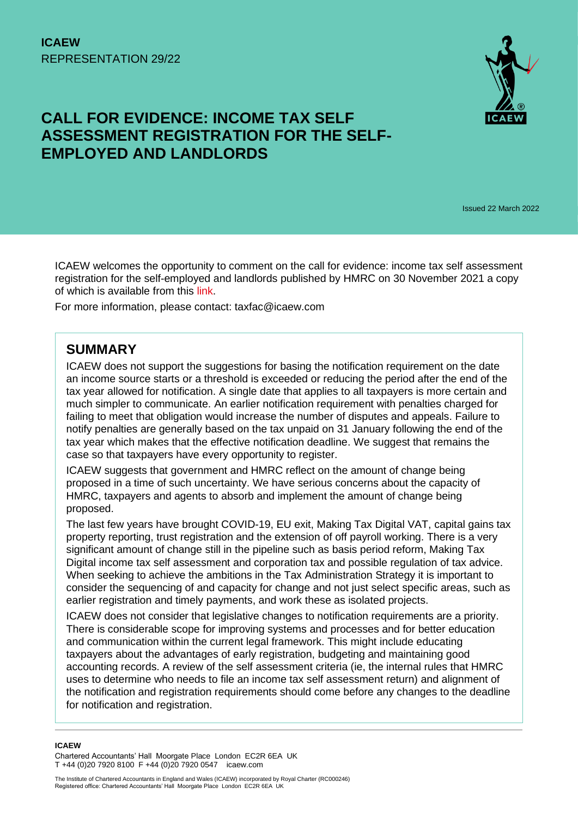

# **CALL FOR EVIDENCE: INCOME TAX SELF ASSESSMENT REGISTRATION FOR THE SELF-EMPLOYED AND LANDLORDS**

Issued 22 March 2022

ICAEW welcomes the opportunity to comment on the call for evidence: income tax self assessment registration for the self-employed and landlords published by HMRC on 30 November 2021 a copy of which is available from this [link.](https://www.gov.uk/government/consultations/call-for-evidence-income-tax-self-assessment-registration-for-the-self-employed-and-landlords)

For more information, please contact: taxfac@icaew.com

### **SUMMARY**

ICAEW does not support the suggestions for basing the notification requirement on the date an income source starts or a threshold is exceeded or reducing the period after the end of the tax year allowed for notification. A single date that applies to all taxpayers is more certain and much simpler to communicate. An earlier notification requirement with penalties charged for failing to meet that obligation would increase the number of disputes and appeals. Failure to notify penalties are generally based on the tax unpaid on 31 January following the end of the tax year which makes that the effective notification deadline. We suggest that remains the case so that taxpayers have every opportunity to register.

ICAEW suggests that government and HMRC reflect on the amount of change being proposed in a time of such uncertainty. We have serious concerns about the capacity of HMRC, taxpayers and agents to absorb and implement the amount of change being proposed.

The last few years have brought COVID-19, EU exit, Making Tax Digital VAT, capital gains tax property reporting, trust registration and the extension of off payroll working. There is a very significant amount of change still in the pipeline such as basis period reform, Making Tax Digital income tax self assessment and corporation tax and possible regulation of tax advice. When seeking to achieve the ambitions in the Tax Administration Strategy it is important to consider the sequencing of and capacity for change and not just select specific areas, such as earlier registration and timely payments, and work these as isolated projects.

ICAEW does not consider that legislative changes to notification requirements are a priority. There is considerable scope for improving systems and processes and for better education and communication within the current legal framework. This might include educating taxpayers about the advantages of early registration, budgeting and maintaining good accounting records. A review of the self assessment criteria (ie, the internal rules that HMRC uses to determine who needs to file an income tax self assessment return) and alignment of the notification and registration requirements should come before any changes to the deadline for notification and registration.

#### **ICAEW**

Chartered Accountants' Hall Moorgate Place London EC2R 6EA UK T +44 (0)20 7920 8100 F +44 (0)20 7920 0547 icaew.com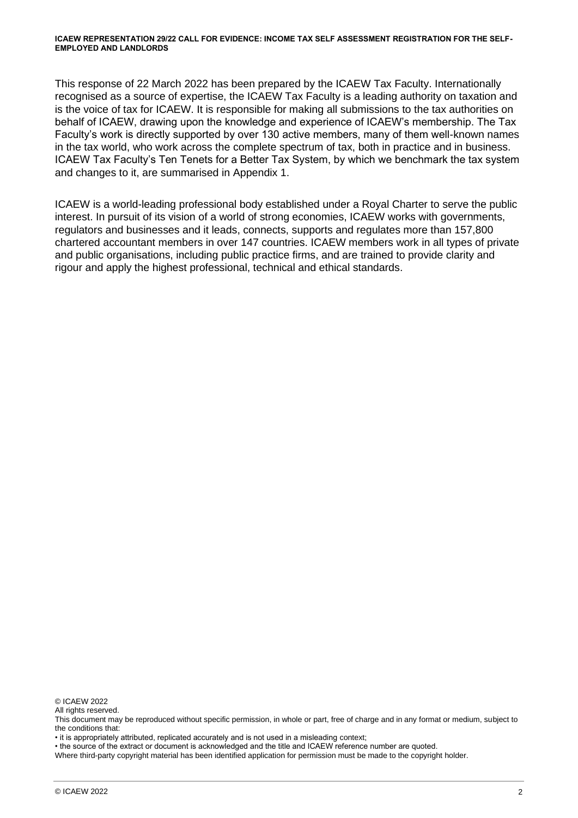This response of 22 March 2022 has been prepared by the ICAEW Tax Faculty. Internationally recognised as a source of expertise, the ICAEW Tax Faculty is a leading authority on taxation and is the voice of tax for ICAEW. It is responsible for making all submissions to the tax authorities on behalf of ICAEW, drawing upon the knowledge and experience of ICAEW's membership. The Tax Faculty's work is directly supported by over 130 active members, many of them well-known names in the tax world, who work across the complete spectrum of tax, both in practice and in business. ICAEW Tax Faculty's Ten Tenets for a Better Tax System, by which we benchmark the tax system and changes to it, are summarised in Appendix 1.

ICAEW is a world-leading professional body established under a Royal Charter to serve the public interest. In pursuit of its vision of a world of strong economies, ICAEW works with governments, regulators and businesses and it leads, connects, supports and regulates more than 157,800 chartered accountant members in over 147 countries. ICAEW members work in all types of private and public organisations, including public practice firms, and are trained to provide clarity and rigour and apply the highest professional, technical and ethical standards.

© ICAEW 2022

All rights reserved.

This document may be reproduced without specific permission, in whole or part, free of charge and in any format or medium, subject to the conditions that:

• it is appropriately attributed, replicated accurately and is not used in a misleading context;

• the source of the extract or document is acknowledged and the title and ICAEW reference number are quoted.

Where third-party copyright material has been identified application for permission must be made to the copyright holder.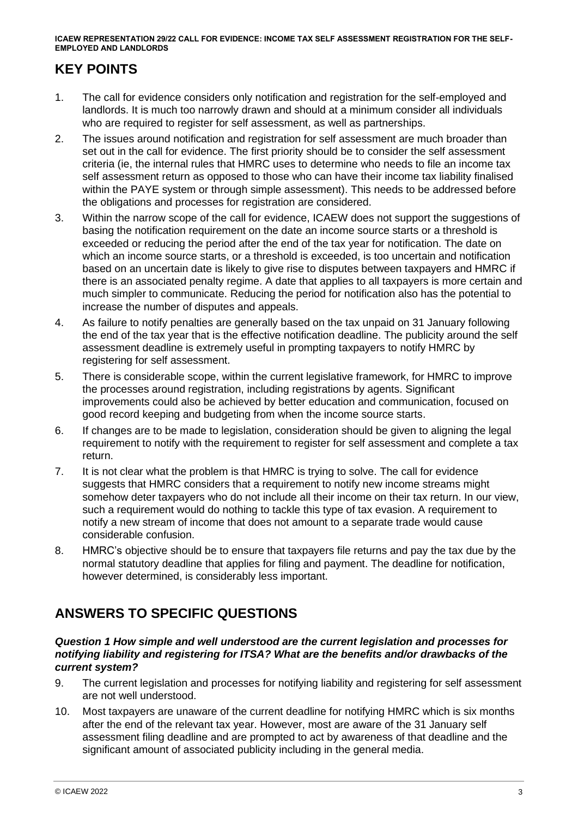### **KEY POINTS**

- 1. The call for evidence considers only notification and registration for the self-employed and landlords. It is much too narrowly drawn and should at a minimum consider all individuals who are required to register for self assessment, as well as partnerships.
- 2. The issues around notification and registration for self assessment are much broader than set out in the call for evidence. The first priority should be to consider the self assessment criteria (ie, the internal rules that HMRC uses to determine who needs to file an income tax self assessment return as opposed to those who can have their income tax liability finalised within the PAYE system or through simple assessment). This needs to be addressed before the obligations and processes for registration are considered.
- 3. Within the narrow scope of the call for evidence, ICAEW does not support the suggestions of basing the notification requirement on the date an income source starts or a threshold is exceeded or reducing the period after the end of the tax year for notification. The date on which an income source starts, or a threshold is exceeded, is too uncertain and notification based on an uncertain date is likely to give rise to disputes between taxpayers and HMRC if there is an associated penalty regime. A date that applies to all taxpayers is more certain and much simpler to communicate. Reducing the period for notification also has the potential to increase the number of disputes and appeals.
- 4. As failure to notify penalties are generally based on the tax unpaid on 31 January following the end of the tax year that is the effective notification deadline. The publicity around the self assessment deadline is extremely useful in prompting taxpayers to notify HMRC by registering for self assessment.
- 5. There is considerable scope, within the current legislative framework, for HMRC to improve the processes around registration, including registrations by agents. Significant improvements could also be achieved by better education and communication, focused on good record keeping and budgeting from when the income source starts.
- 6. If changes are to be made to legislation, consideration should be given to aligning the legal requirement to notify with the requirement to register for self assessment and complete a tax return.
- 7. It is not clear what the problem is that HMRC is trying to solve. The call for evidence suggests that HMRC considers that a requirement to notify new income streams might somehow deter taxpayers who do not include all their income on their tax return. In our view, such a requirement would do nothing to tackle this type of tax evasion. A requirement to notify a new stream of income that does not amount to a separate trade would cause considerable confusion.
- 8. HMRC's objective should be to ensure that taxpayers file returns and pay the tax due by the normal statutory deadline that applies for filing and payment. The deadline for notification, however determined, is considerably less important.

## **ANSWERS TO SPECIFIC QUESTIONS**

#### *Question 1 How simple and well understood are the current legislation and processes for notifying liability and registering for ITSA? What are the benefits and/or drawbacks of the current system?*

- 9. The current legislation and processes for notifying liability and registering for self assessment are not well understood.
- 10. Most taxpayers are unaware of the current deadline for notifying HMRC which is six months after the end of the relevant tax year. However, most are aware of the 31 January self assessment filing deadline and are prompted to act by awareness of that deadline and the significant amount of associated publicity including in the general media.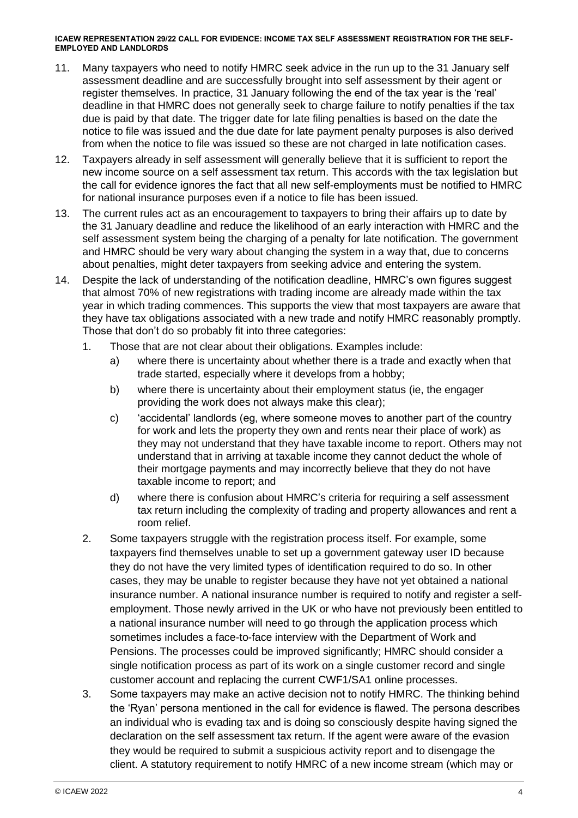- 11. Many taxpayers who need to notify HMRC seek advice in the run up to the 31 January self assessment deadline and are successfully brought into self assessment by their agent or register themselves. In practice, 31 January following the end of the tax year is the 'real' deadline in that HMRC does not generally seek to charge failure to notify penalties if the tax due is paid by that date. The trigger date for late filing penalties is based on the date the notice to file was issued and the due date for late payment penalty purposes is also derived from when the notice to file was issued so these are not charged in late notification cases.
- 12. Taxpayers already in self assessment will generally believe that it is sufficient to report the new income source on a self assessment tax return. This accords with the tax legislation but the call for evidence ignores the fact that all new self-employments must be notified to HMRC for national insurance purposes even if a notice to file has been issued.
- 13. The current rules act as an encouragement to taxpayers to bring their affairs up to date by the 31 January deadline and reduce the likelihood of an early interaction with HMRC and the self assessment system being the charging of a penalty for late notification. The government and HMRC should be very wary about changing the system in a way that, due to concerns about penalties, might deter taxpayers from seeking advice and entering the system.
- 14. Despite the lack of understanding of the notification deadline, HMRC's own figures suggest that almost 70% of new registrations with trading income are already made within the tax year in which trading commences. This supports the view that most taxpayers are aware that they have tax obligations associated with a new trade and notify HMRC reasonably promptly. Those that don't do so probably fit into three categories:
	- 1. Those that are not clear about their obligations. Examples include:
		- a) where there is uncertainty about whether there is a trade and exactly when that trade started, especially where it develops from a hobby;
		- b) where there is uncertainty about their employment status (ie, the engager providing the work does not always make this clear);
		- c) 'accidental' landlords (eg, where someone moves to another part of the country for work and lets the property they own and rents near their place of work) as they may not understand that they have taxable income to report. Others may not understand that in arriving at taxable income they cannot deduct the whole of their mortgage payments and may incorrectly believe that they do not have taxable income to report; and
		- d) where there is confusion about HMRC's criteria for requiring a self assessment tax return including the complexity of trading and property allowances and rent a room relief.
	- 2. Some taxpayers struggle with the registration process itself. For example, some taxpayers find themselves unable to set up a government gateway user ID because they do not have the very limited types of identification required to do so. In other cases, they may be unable to register because they have not yet obtained a national insurance number. A national insurance number is required to notify and register a selfemployment. Those newly arrived in the UK or who have not previously been entitled to a national insurance number will need to go through the application process which sometimes includes a face-to-face interview with the Department of Work and Pensions. The processes could be improved significantly; HMRC should consider a single notification process as part of its work on a single customer record and single customer account and replacing the current CWF1/SA1 online processes.
	- 3. Some taxpayers may make an active decision not to notify HMRC. The thinking behind the 'Ryan' persona mentioned in the call for evidence is flawed. The persona describes an individual who is evading tax and is doing so consciously despite having signed the declaration on the self assessment tax return. If the agent were aware of the evasion they would be required to submit a suspicious activity report and to disengage the client. A statutory requirement to notify HMRC of a new income stream (which may or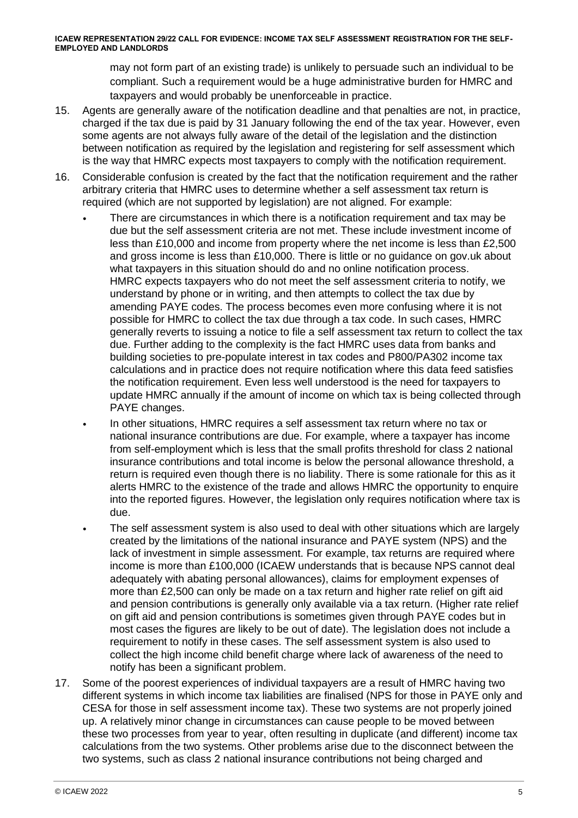may not form part of an existing trade) is unlikely to persuade such an individual to be compliant. Such a requirement would be a huge administrative burden for HMRC and taxpayers and would probably be unenforceable in practice.

- 15. Agents are generally aware of the notification deadline and that penalties are not, in practice, charged if the tax due is paid by 31 January following the end of the tax year. However, even some agents are not always fully aware of the detail of the legislation and the distinction between notification as required by the legislation and registering for self assessment which is the way that HMRC expects most taxpayers to comply with the notification requirement.
- 16. Considerable confusion is created by the fact that the notification requirement and the rather arbitrary criteria that HMRC uses to determine whether a self assessment tax return is required (which are not supported by legislation) are not aligned. For example:
	- There are circumstances in which there is a notification requirement and tax may be due but the self assessment criteria are not met. These include investment income of less than £10,000 and income from property where the net income is less than £2,500 and gross income is less than £10,000. There is little or no guidance on gov.uk about what taxpayers in this situation should do and no online notification process. HMRC expects taxpayers who do not meet the self assessment criteria to notify, we understand by phone or in writing, and then attempts to collect the tax due by amending PAYE codes. The process becomes even more confusing where it is not possible for HMRC to collect the tax due through a tax code. In such cases, HMRC generally reverts to issuing a notice to file a self assessment tax return to collect the tax due. Further adding to the complexity is the fact HMRC uses data from banks and building societies to pre-populate interest in tax codes and P800/PA302 income tax calculations and in practice does not require notification where this data feed satisfies the notification requirement. Even less well understood is the need for taxpayers to update HMRC annually if the amount of income on which tax is being collected through PAYE changes.
		- In other situations, HMRC requires a self assessment tax return where no tax or national insurance contributions are due. For example, where a taxpayer has income from self-employment which is less that the small profits threshold for class 2 national insurance contributions and total income is below the personal allowance threshold, a return is required even though there is no liability. There is some rationale for this as it alerts HMRC to the existence of the trade and allows HMRC the opportunity to enquire into the reported figures. However, the legislation only requires notification where tax is due.
	- The self assessment system is also used to deal with other situations which are largely created by the limitations of the national insurance and PAYE system (NPS) and the lack of investment in simple assessment. For example, tax returns are required where income is more than £100,000 (ICAEW understands that is because NPS cannot deal adequately with abating personal allowances), claims for employment expenses of more than £2,500 can only be made on a tax return and higher rate relief on gift aid and pension contributions is generally only available via a tax return. (Higher rate relief on gift aid and pension contributions is sometimes given through PAYE codes but in most cases the figures are likely to be out of date). The legislation does not include a requirement to notify in these cases. The self assessment system is also used to collect the high income child benefit charge where lack of awareness of the need to notify has been a significant problem.
- 17. Some of the poorest experiences of individual taxpayers are a result of HMRC having two different systems in which income tax liabilities are finalised (NPS for those in PAYE only and CESA for those in self assessment income tax). These two systems are not properly joined up. A relatively minor change in circumstances can cause people to be moved between these two processes from year to year, often resulting in duplicate (and different) income tax calculations from the two systems. Other problems arise due to the disconnect between the two systems, such as class 2 national insurance contributions not being charged and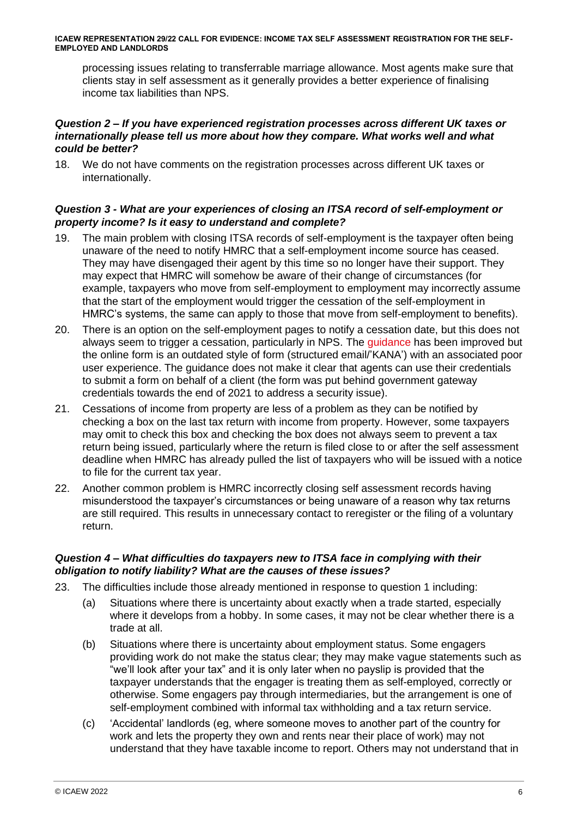processing issues relating to transferrable marriage allowance. Most agents make sure that clients stay in self assessment as it generally provides a better experience of finalising income tax liabilities than NPS.

#### *Question 2 – If you have experienced registration processes across different UK taxes or internationally please tell us more about how they compare. What works well and what could be better?*

18. We do not have comments on the registration processes across different UK taxes or internationally.

### *Question 3 - What are your experiences of closing an ITSA record of self-employment or property income? Is it easy to understand and complete?*

- 19. The main problem with closing ITSA records of self-employment is the taxpayer often being unaware of the need to notify HMRC that a self-employment income source has ceased. They may have disengaged their agent by this time so no longer have their support. They may expect that HMRC will somehow be aware of their change of circumstances (for example, taxpayers who move from self-employment to employment may incorrectly assume that the start of the employment would trigger the cessation of the self-employment in HMRC's systems, the same can apply to those that move from self-employment to benefits).
- 20. There is an option on the self-employment pages to notify a cessation date, but this does not always seem to trigger a cessation, particularly in NPS. The [guidance](https://www.gov.uk/stop-being-self-employed) has been improved but the online form is an outdated style of form (structured email/'KANA') with an associated poor user experience. The guidance does not make it clear that agents can use their credentials to submit a form on behalf of a client (the form was put behind government gateway credentials towards the end of 2021 to address a security issue).
- 21. Cessations of income from property are less of a problem as they can be notified by checking a box on the last tax return with income from property. However, some taxpayers may omit to check this box and checking the box does not always seem to prevent a tax return being issued, particularly where the return is filed close to or after the self assessment deadline when HMRC has already pulled the list of taxpayers who will be issued with a notice to file for the current tax year.
- 22. Another common problem is HMRC incorrectly closing self assessment records having misunderstood the taxpayer's circumstances or being unaware of a reason why tax returns are still required. This results in unnecessary contact to reregister or the filing of a voluntary return.

### *Question 4 – What difficulties do taxpayers new to ITSA face in complying with their obligation to notify liability? What are the causes of these issues?*

- 23. The difficulties include those already mentioned in response to question 1 including:
	- (a) Situations where there is uncertainty about exactly when a trade started, especially where it develops from a hobby. In some cases, it may not be clear whether there is a trade at all.
	- (b) Situations where there is uncertainty about employment status. Some engagers providing work do not make the status clear; they may make vague statements such as "we'll look after your tax" and it is only later when no payslip is provided that the taxpayer understands that the engager is treating them as self-employed, correctly or otherwise. Some engagers pay through intermediaries, but the arrangement is one of self-employment combined with informal tax withholding and a tax return service.
	- (c) 'Accidental' landlords (eg, where someone moves to another part of the country for work and lets the property they own and rents near their place of work) may not understand that they have taxable income to report. Others may not understand that in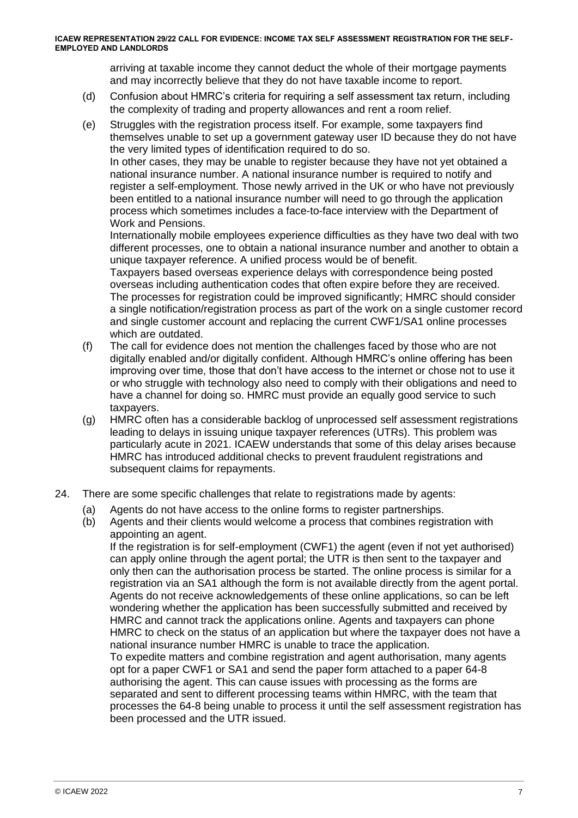arriving at taxable income they cannot deduct the whole of their mortgage payments and may incorrectly believe that they do not have taxable income to report.

- (d) Confusion about HMRC's criteria for requiring a self assessment tax return, including the complexity of trading and property allowances and rent a room relief.
- (e) Struggles with the registration process itself. For example, some taxpayers find themselves unable to set up a government gateway user ID because they do not have the very limited types of identification required to do so. In other cases, they may be unable to register because they have not yet obtained a national insurance number. A national insurance number is required to notify and register a self-employment. Those newly arrived in the UK or who have not previously

been entitled to a national insurance number will need to go through the application process which sometimes includes a face-to-face interview with the Department of Work and Pensions.

Internationally mobile employees experience difficulties as they have two deal with two different processes, one to obtain a national insurance number and another to obtain a unique taxpayer reference. A unified process would be of benefit.

Taxpayers based overseas experience delays with correspondence being posted overseas including authentication codes that often expire before they are received. The processes for registration could be improved significantly; HMRC should consider a single notification/registration process as part of the work on a single customer record and single customer account and replacing the current CWF1/SA1 online processes which are outdated.

- (f) The call for evidence does not mention the challenges faced by those who are not digitally enabled and/or digitally confident. Although HMRC's online offering has been improving over time, those that don't have access to the internet or chose not to use it or who struggle with technology also need to comply with their obligations and need to have a channel for doing so. HMRC must provide an equally good service to such taxpayers.
- (g) HMRC often has a considerable backlog of unprocessed self assessment registrations leading to delays in issuing unique taxpayer references (UTRs). This problem was particularly acute in 2021. ICAEW understands that some of this delay arises because HMRC has introduced additional checks to prevent fraudulent registrations and subsequent claims for repayments.
- 24. There are some specific challenges that relate to registrations made by agents:
	- (a) Agents do not have access to the online forms to register partnerships.
	- (b) Agents and their clients would welcome a process that combines registration with appointing an agent.

If the registration is for self-employment (CWF1) the agent (even if not yet authorised) can apply online through the agent portal; the UTR is then sent to the taxpayer and only then can the authorisation process be started. The online process is similar for a registration via an SA1 although the form is not available directly from the agent portal. Agents do not receive acknowledgements of these online applications, so can be left wondering whether the application has been successfully submitted and received by HMRC and cannot track the applications online. Agents and taxpayers can phone HMRC to check on the status of an application but where the taxpayer does not have a national insurance number HMRC is unable to trace the application. To expedite matters and combine registration and agent authorisation, many agents opt for a paper CWF1 or SA1 and send the paper form attached to a paper 64-8 authorising the agent. This can cause issues with processing as the forms are

separated and sent to different processing teams within HMRC, with the team that processes the 64-8 being unable to process it until the self assessment registration has been processed and the UTR issued.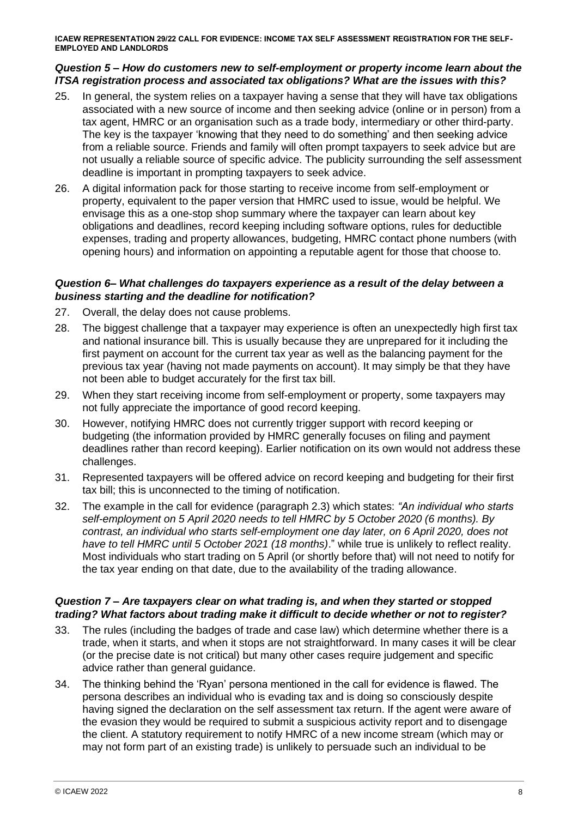#### *Question 5 – How do customers new to self-employment or property income learn about the ITSA registration process and associated tax obligations? What are the issues with this?*

- 25. In general, the system relies on a taxpayer having a sense that they will have tax obligations associated with a new source of income and then seeking advice (online or in person) from a tax agent, HMRC or an organisation such as a trade body, intermediary or other third-party. The key is the taxpayer 'knowing that they need to do something' and then seeking advice from a reliable source. Friends and family will often prompt taxpayers to seek advice but are not usually a reliable source of specific advice. The publicity surrounding the self assessment deadline is important in prompting taxpayers to seek advice.
- 26. A digital information pack for those starting to receive income from self-employment or property, equivalent to the paper version that HMRC used to issue, would be helpful. We envisage this as a one-stop shop summary where the taxpayer can learn about key obligations and deadlines, record keeping including software options, rules for deductible expenses, trading and property allowances, budgeting, HMRC contact phone numbers (with opening hours) and information on appointing a reputable agent for those that choose to.

#### *Question 6– What challenges do taxpayers experience as a result of the delay between a business starting and the deadline for notification?*

- 27. Overall, the delay does not cause problems.
- 28. The biggest challenge that a taxpayer may experience is often an unexpectedly high first tax and national insurance bill. This is usually because they are unprepared for it including the first payment on account for the current tax year as well as the balancing payment for the previous tax year (having not made payments on account). It may simply be that they have not been able to budget accurately for the first tax bill.
- 29. When they start receiving income from self-employment or property, some taxpayers may not fully appreciate the importance of good record keeping.
- 30. However, notifying HMRC does not currently trigger support with record keeping or budgeting (the information provided by HMRC generally focuses on filing and payment deadlines rather than record keeping). Earlier notification on its own would not address these challenges.
- 31. Represented taxpayers will be offered advice on record keeping and budgeting for their first tax bill; this is unconnected to the timing of notification.
- 32. The example in the call for evidence (paragraph 2.3) which states: *"An individual who starts self-employment on 5 April 2020 needs to tell HMRC by 5 October 2020 (6 months). By contrast, an individual who starts self-employment one day later, on 6 April 2020, does not have to tell HMRC until 5 October 2021 (18 months)*." while true is unlikely to reflect reality. Most individuals who start trading on 5 April (or shortly before that) will not need to notify for the tax year ending on that date, due to the availability of the trading allowance.

#### *Question 7 – Are taxpayers clear on what trading is, and when they started or stopped trading? What factors about trading make it difficult to decide whether or not to register?*

- 33. The rules (including the badges of trade and case law) which determine whether there is a trade, when it starts, and when it stops are not straightforward. In many cases it will be clear (or the precise date is not critical) but many other cases require judgement and specific advice rather than general guidance.
- 34. The thinking behind the 'Ryan' persona mentioned in the call for evidence is flawed. The persona describes an individual who is evading tax and is doing so consciously despite having signed the declaration on the self assessment tax return. If the agent were aware of the evasion they would be required to submit a suspicious activity report and to disengage the client. A statutory requirement to notify HMRC of a new income stream (which may or may not form part of an existing trade) is unlikely to persuade such an individual to be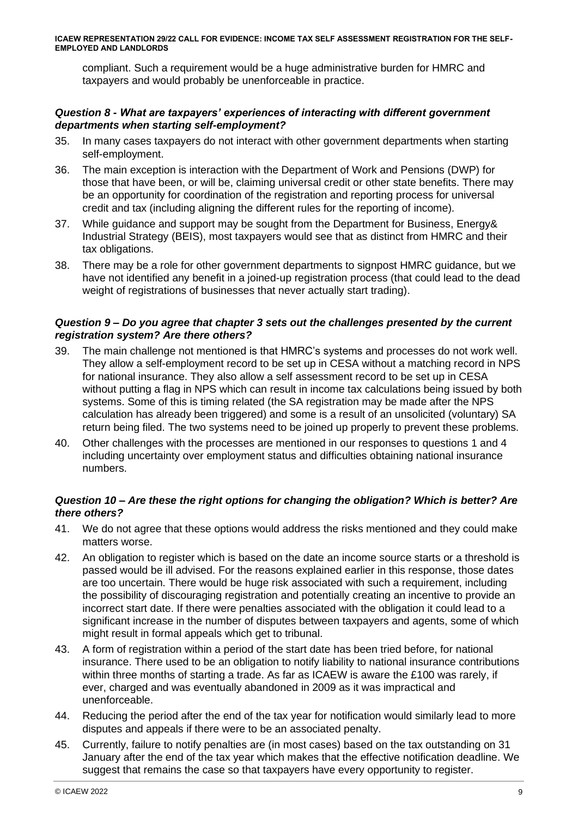compliant. Such a requirement would be a huge administrative burden for HMRC and taxpayers and would probably be unenforceable in practice.

#### *Question 8 - What are taxpayers' experiences of interacting with different government departments when starting self-employment?*

- 35. In many cases taxpayers do not interact with other government departments when starting self-employment.
- 36. The main exception is interaction with the Department of Work and Pensions (DWP) for those that have been, or will be, claiming universal credit or other state benefits. There may be an opportunity for coordination of the registration and reporting process for universal credit and tax (including aligning the different rules for the reporting of income).
- 37. While guidance and support may be sought from the Department for Business, Energy& Industrial Strategy (BEIS), most taxpayers would see that as distinct from HMRC and their tax obligations.
- 38. There may be a role for other government departments to signpost HMRC guidance, but we have not identified any benefit in a joined-up registration process (that could lead to the dead weight of registrations of businesses that never actually start trading).

#### *Question 9 – Do you agree that chapter 3 sets out the challenges presented by the current registration system? Are there others?*

- 39. The main challenge not mentioned is that HMRC's systems and processes do not work well. They allow a self-employment record to be set up in CESA without a matching record in NPS for national insurance. They also allow a self assessment record to be set up in CESA without putting a flag in NPS which can result in income tax calculations being issued by both systems. Some of this is timing related (the SA registration may be made after the NPS calculation has already been triggered) and some is a result of an unsolicited (voluntary) SA return being filed. The two systems need to be joined up properly to prevent these problems.
- 40. Other challenges with the processes are mentioned in our responses to questions 1 and 4 including uncertainty over employment status and difficulties obtaining national insurance numbers.

### *Question 10 – Are these the right options for changing the obligation? Which is better? Are there others?*

- 41. We do not agree that these options would address the risks mentioned and they could make matters worse.
- 42. An obligation to register which is based on the date an income source starts or a threshold is passed would be ill advised. For the reasons explained earlier in this response, those dates are too uncertain. There would be huge risk associated with such a requirement, including the possibility of discouraging registration and potentially creating an incentive to provide an incorrect start date. If there were penalties associated with the obligation it could lead to a significant increase in the number of disputes between taxpayers and agents, some of which might result in formal appeals which get to tribunal.
- 43. A form of registration within a period of the start date has been tried before, for national insurance. There used to be an obligation to notify liability to national insurance contributions within three months of starting a trade. As far as ICAEW is aware the £100 was rarely, if ever, charged and was eventually abandoned in 2009 as it was impractical and unenforceable.
- 44. Reducing the period after the end of the tax year for notification would similarly lead to more disputes and appeals if there were to be an associated penalty.
- 45. Currently, failure to notify penalties are (in most cases) based on the tax outstanding on 31 January after the end of the tax year which makes that the effective notification deadline. We suggest that remains the case so that taxpayers have every opportunity to register.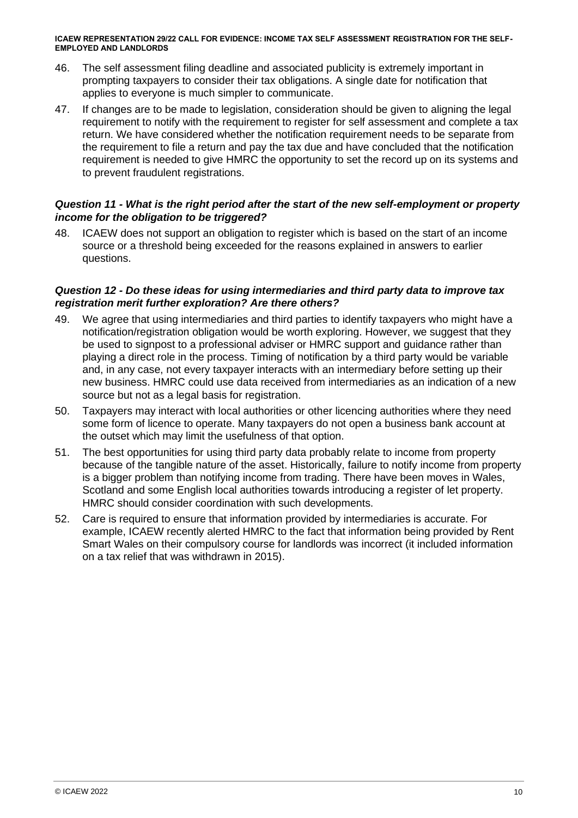- 46. The self assessment filing deadline and associated publicity is extremely important in prompting taxpayers to consider their tax obligations. A single date for notification that applies to everyone is much simpler to communicate.
- 47. If changes are to be made to legislation, consideration should be given to aligning the legal requirement to notify with the requirement to register for self assessment and complete a tax return. We have considered whether the notification requirement needs to be separate from the requirement to file a return and pay the tax due and have concluded that the notification requirement is needed to give HMRC the opportunity to set the record up on its systems and to prevent fraudulent registrations.

#### *Question 11 - What is the right period after the start of the new self-employment or property income for the obligation to be triggered?*

48. ICAEW does not support an obligation to register which is based on the start of an income source or a threshold being exceeded for the reasons explained in answers to earlier questions.

#### *Question 12 - Do these ideas for using intermediaries and third party data to improve tax registration merit further exploration? Are there others?*

- 49. We agree that using intermediaries and third parties to identify taxpayers who might have a notification/registration obligation would be worth exploring. However, we suggest that they be used to signpost to a professional adviser or HMRC support and guidance rather than playing a direct role in the process. Timing of notification by a third party would be variable and, in any case, not every taxpayer interacts with an intermediary before setting up their new business. HMRC could use data received from intermediaries as an indication of a new source but not as a legal basis for registration.
- 50. Taxpayers may interact with local authorities or other licencing authorities where they need some form of licence to operate. Many taxpayers do not open a business bank account at the outset which may limit the usefulness of that option.
- 51. The best opportunities for using third party data probably relate to income from property because of the tangible nature of the asset. Historically, failure to notify income from property is a bigger problem than notifying income from trading. There have been moves in Wales, Scotland and some English local authorities towards introducing a register of let property. HMRC should consider coordination with such developments.
- 52. Care is required to ensure that information provided by intermediaries is accurate. For example, ICAEW recently alerted HMRC to the fact that information being provided by Rent Smart Wales on their compulsory course for landlords was incorrect (it included information on a tax relief that was withdrawn in 2015).